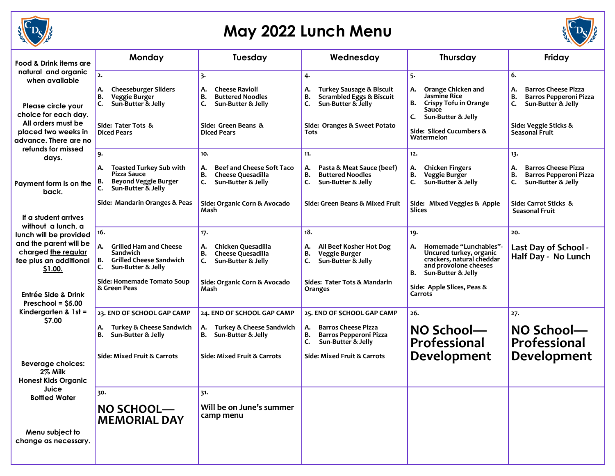

## **May 2022 Lunch Menu**



| Food & Drink items are                                                                                       | Monday                                                                                                         | Tuesday                                                                                                         | Wednesday                                                                                                                                          | <b>Thursday</b>                                                                                                                           | Friday                                                                                                                       |
|--------------------------------------------------------------------------------------------------------------|----------------------------------------------------------------------------------------------------------------|-----------------------------------------------------------------------------------------------------------------|----------------------------------------------------------------------------------------------------------------------------------------------------|-------------------------------------------------------------------------------------------------------------------------------------------|------------------------------------------------------------------------------------------------------------------------------|
| natural and organic<br>when available                                                                        | 2.                                                                                                             | 3.                                                                                                              | 4.                                                                                                                                                 | 5.                                                                                                                                        | 6.                                                                                                                           |
| Please circle your<br>choice for each day.<br>All orders must be                                             | <b>Cheeseburger Sliders</b><br>А.<br>В.<br>Veggie Burger<br>Sun-Butter & Jelly<br>C.<br>Side: Tater Tots &     | <b>Cheese Ravioli</b><br>А.<br>В.<br><b>Buttered Noodles</b><br>C.<br>Sun-Butter & Jelly<br>Side: Green Beans & | <b>Turkey Sausage &amp; Biscuit</b><br>А.<br><b>Scrambled Eggs &amp; Biscuit</b><br>B.<br>Sun-Butter & Jelly<br>c.<br>Side: Oranges & Sweet Potato | Orange Chicken and<br>А.<br>Jasmine Rice<br>в.<br><b>Crispy Tofu in Orange</b><br>Sauce<br>C.<br>Sun-Butter & Jelly                       | <b>Barros Cheese Pizza</b><br>А.<br>В.<br><b>Barros Pepperoni Pizza</b><br>C.<br>Sun-Butter & Jelly<br>Side: Veggie Sticks & |
| placed two weeks in<br>advance. There are no                                                                 | <b>Diced Pears</b>                                                                                             | <b>Diced Pears</b>                                                                                              | Tots                                                                                                                                               | Side: Sliced Cucumbers &<br>Watermelon                                                                                                    | <b>Seasonal Fruit</b>                                                                                                        |
| refunds for missed<br>days.                                                                                  | 9.                                                                                                             | 10.                                                                                                             | 11.                                                                                                                                                | 12.                                                                                                                                       | 13.                                                                                                                          |
| Payment form is on the<br>back.                                                                              | <b>Toasted Turkey Sub with</b><br>А.<br>Pizza Sauce<br><b>Beyond Veggie Burger</b><br>в.<br>Sun-Butter & Jelly | <b>Beef and Cheese Soft Taco</b><br>А.<br>Cheese Quesadilla<br>В.<br>C.<br>Sun-Butter & Jelly                   | Pasta & Meat Sauce (beef)<br>А.<br>B.<br><b>Buttered Noodles</b><br>C.<br>Sun-Butter & Jelly                                                       | <b>Chicken Fingers</b><br>А.<br>в.<br>Veggie Burger<br>c.<br>Sun-Butter & Jelly                                                           | <b>Barros Cheese Pizza</b><br>А.<br>В.<br><b>Barros Pepperoni Pizza</b><br>C.<br>Sun-Butter & Jelly                          |
|                                                                                                              | Side: Mandarin Oranges & Peas                                                                                  | Side: Organic Corn & Avocado<br>Mash                                                                            | Side: Green Beans & Mixed Fruit                                                                                                                    | Side: Mixed Veggies & Apple<br>Slices                                                                                                     | Side: Carrot Sticks &<br><b>Seasonal Fruit</b>                                                                               |
| If a student arrives<br>without a lunch, a                                                                   | 16.                                                                                                            | 17.                                                                                                             | 18.                                                                                                                                                | 19.                                                                                                                                       | 20.                                                                                                                          |
| lunch will be provided<br>and the parent will be<br>charged the regular<br>fee plus an additional<br>\$1.00. | А.<br><b>Grilled Ham and Cheese</b><br>Sandwich<br><b>Grilled Cheese Sandwich</b><br>в.<br>Sun-Butter & Jelly  | Chicken Quesadilla<br>А.<br><b>Cheese Quesadilla</b><br>В.<br>Sun-Butter & Jelly<br>C.                          | All Beef Kosher Hot Dog<br>А.<br>Veggie Burger<br>B.<br>Sun-Butter & Jelly<br>C.                                                                   | Homemade "Lunchables"-<br>А.<br>Uncured turkey, organic<br>crackers, natural cheddar<br>and provolone cheeses<br>Sun-Butter & Jelly<br>В. | Last Day of School -<br>Half Day - No Lunch                                                                                  |
| Entrée Side & Drink<br>Preschool = $$5.00$                                                                   | Side: Homemade Tomato Soup<br>& Green Peas                                                                     | Side: Organic Corn & Avocado<br>Mash                                                                            | Sides: Tater Tots & Mandarin<br>Oranges                                                                                                            | Side: Apple Slices, Peas &<br>Carrots                                                                                                     |                                                                                                                              |
| Kindergarten & $1st =$<br>\$7.00                                                                             | 23. END OF SCHOOL GAP CAMP<br>Turkey & Cheese Sandwich<br>А.<br>Sun-Butter & Jelly<br>в.                       | 24. END OF SCHOOL GAP CAMP<br>A. Turkey & Cheese Sandwich<br>B. Sun-Butter & Jelly                              | 25. END OF SCHOOL GAP CAMP<br><b>Barros Cheese Pizza</b><br>А.<br>B.<br>Barros Pepperoni Pizza<br>Sun-Butter & Jelly<br>C.                         | 26.<br>NO School-<br><b>Professional</b>                                                                                                  | 27.<br>NO School-<br>Professional                                                                                            |
| <b>Beverage choices:</b><br>2% Milk<br><b>Honest Kids Organic</b>                                            | Side: Mixed Fruit & Carrots                                                                                    | Side: Mixed Fruit & Carrots                                                                                     | <b>Side: Mixed Fruit &amp; Carrots</b>                                                                                                             | Development                                                                                                                               | <b>Development</b>                                                                                                           |
| Juice<br><b>Bottled Water</b>                                                                                | 30.                                                                                                            | 31.                                                                                                             |                                                                                                                                                    |                                                                                                                                           |                                                                                                                              |
|                                                                                                              | NO SCHOOL-<br><b>MEMORIAL DAY</b>                                                                              | Will be on June's summer<br>camp menu                                                                           |                                                                                                                                                    |                                                                                                                                           |                                                                                                                              |
| Menu subject to<br>change as necessary.                                                                      |                                                                                                                |                                                                                                                 |                                                                                                                                                    |                                                                                                                                           |                                                                                                                              |